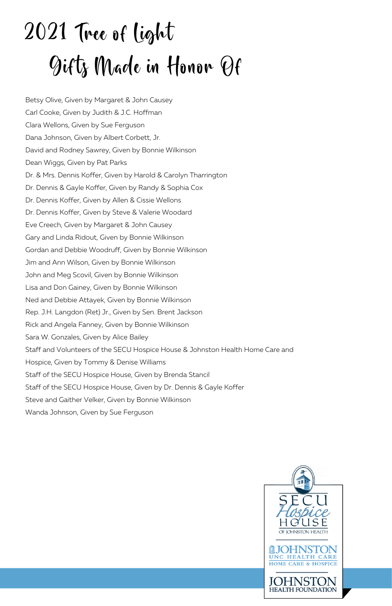# 2021 Tree of light Gifts Made in Honor Of

Betsy Olive, Given by Margaret & John Causey Carl Cooke, Given by Judith & J.C. Hoffman Clara Wellons, Given by Sue Ferguson Dana Johnson, Given by Albert Corbett, Jr. David and Rodney Sawrey, Given by Bonnie Wilkinson Dean Wiggs, Given by Pat Parks Dr. & Mrs. Dennis Koffer, Given by Harold & Carolyn Tharrington Dr. Dennis & Gayle Koffer, Given by Randy & Sophia Cox Dr. Dennis Koffer, Given by Allen & Cissie Wellons Dr. Dennis Koffer, Given by Steve & Valerie Woodard Eve Creech, Given by Margaret & John Causey Gary and Linda Ridout, Given by Bonnie Wilkinson Gordan and Debbie Woodruff, Given by Bonnie Wilkinson Jim and Ann Wilson, Given by Bonnie Wilkinson John and Meg Scovil, Given by Bonnie Wilkinson Lisa and Don Gainey, Given by Bonnie Wilkinson Ned and Debbie Attayek, Given by Bonnie Wilkinson Rep. J.H. Langdon (Ret) Jr., Given by Sen. Brent Jackson Rick and Angela Fanney, Given by Bonnie Wilkinson Sara W. Gonzales, Given by Alice Bailey Staff and Volunteers of the SECU Hospice House & Johnston Health Home Care and Hospice, Given by Tommy & Denise Williams Staff of the SECU Hospice House, Given by Brenda Stancil Staff of the SECU Hospice House, Given by Dr. Dennis & Gayle Koffer Steve and Gaither Velker, Given by Bonnie Wilkinson Wanda Johnson, Given by Sue Ferguson

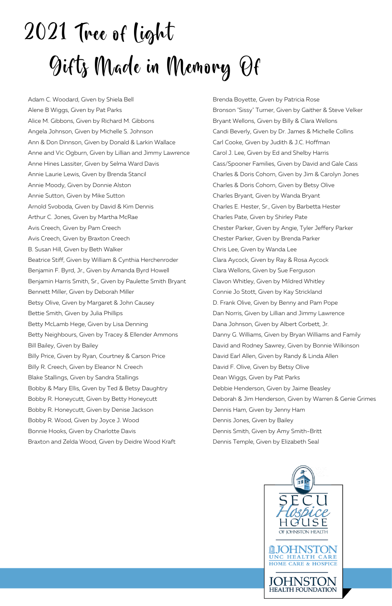# 2021 Tree of light Gifts Made in Memory Of

Adam C. Woodard, Given by Shiela Bell Alene B Wiggs, Given by Pat Parks Alice M. Gibbons, Given by Richard M. Gibbons Angela Johnson, Given by Michelle S. Johnson Ann & Don Dinnson, Given by Donald & Larkin Wallace Anne and Vic Ogburn, Given by Lillian and Jimmy Lawrence Anne Hines Lassiter, Given by Selma Ward Davis Annie Laurie Lewis, Given by Brenda Stancil Annie Moody, Given by Donnie Alston Annie Sutton, Given by Mike Sutton Arnold Svoboda, Given by David & Kim Dennis Arthur C. Jones, Given by Martha McRae Avis Creech, Given by Pam Creech Avis Creech, Given by Braxton Creech B. Susan Hill, Given by Beth Walker Beatrice Stiff, Given by William & Cynthia Herchenroder Benjamin F. Byrd, Jr., Given by Amanda Byrd Howell Benjamin Harris Smith, Sr., Given by Paulette Smith Bryant Bennett Miller, Given by Deborah Miller Betsy Olive, Given by Margaret & John Causey Bettie Smith, Given by Julia Phillips Betty McLamb Hege, Given by Lisa Denning Betty Neighbours, Given by Tracey & Ellender Ammons Bill Bailey, Given by Bailey Billy Price, Given by Ryan, Courtney & Carson Price Billy R. Creech, Given by Eleanor N. Creech Blake Stallings, Given by Sandra Stallings Bobby & Mary Ellis, Given by Ted & Betsy Daughtry Bobby R. Honeycutt, Given by Betty Honeycutt Bobby R. Honeycutt, Given by Denise Jackson Bobby R. Wood, Given by Joyce J. Wood Bonnie Hooks, Given by Charlotte Davis Braxton and Zelda Wood, Given by Deidre Wood Kraft

Brenda Boyette, Given by Patricia Rose Bronson "Sissy" Turner, Given by Gaither & Steve Velker Bryant Wellons, Given by Billy & Clara Wellons Candi Beverly, Given by Dr. James & Michelle Collins Carl Cooke, Given by Judith & J.C. Hoffman Carol J. Lee, Given by Ed and Shelby Harris Cass/Spooner Families, Given by David and Gale Cass Charles & Doris Cohorn, Given by Jim & Carolyn Jones Charles & Doris Cohorn, Given by Betsy Olive Charles Bryant, Given by Wanda Bryant Charles E. Hester, Sr., Given by Barbetta Hester Charles Pate, Given by Shirley Pate Chester Parker, Given by Angie, Tyler Jeffery Parker Chester Parker, Given by Brenda Parker Chris Lee, Given by Wanda Lee Clara Aycock, Given by Ray & Rosa Aycock Clara Wellons, Given by Sue Ferguson Clavon Whitley, Given by Mildred Whitley Connie Jo Stott, Given by Kay Strickland D. Frank Olive, Given by Benny and Pam Pope Dan Norris, Given by Lillian and Jimmy Lawrence Dana Johnson, Given by Albert Corbett, Jr. Danny G. Williams, Given by Bryan Williams and Family David and Rodney Sawrey, Given by Bonnie Wilkinson David Earl Allen, Given by Randy & Linda Allen David F. Olive, Given by Betsy Olive Dean Wiggs, Given by Pat Parks Debbie Henderson, Given by Jaime Beasley Deborah & Jim Henderson, Given by Warren & Genie Grimes Dennis Ham, Given by Jenny Ham Dennis Jones, Given by Bailey Dennis Smith, Given by Amy Smith-Britt Dennis Temple, Given by Elizabeth Seal

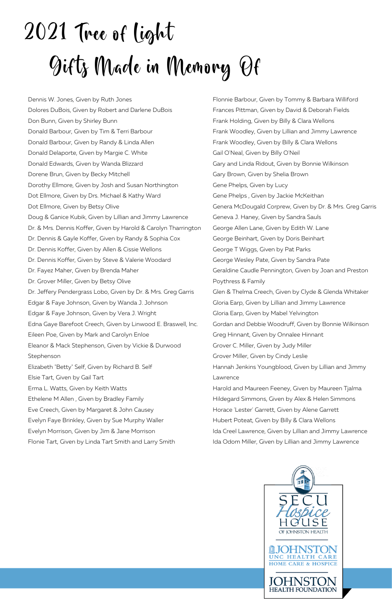# 2021 Tree of Light Gifts Made in Memory Of

Dennis W. Jones, Given by Ruth Jones Dolores DuBois, Given by Robert and Darlene DuBois Don Bunn, Given by Shirley Bunn Donald Barbour, Given by Tim & Terri Barbour Donald Barbour, Given by Randy & Linda Allen Donald Delaporte, Given by Margie C. White Donald Edwards, Given by Wanda Blizzard Dorene Brun, Given by Becky Mitchell Dorothy Ellmore, Given by Josh and Susan Northington Dot Ellmore, Given by Drs. Michael & Kathy Ward Dot Ellmore, Given by Betsy Olive Doug & Ganice Kubik, Given by Lillian and Jimmy Lawrence Dr. & Mrs. Dennis Koffer, Given by Harold & Carolyn Tharrington Dr. Dennis & Gayle Koffer, Given by Randy & Sophia Cox Dr. Dennis Koffer, Given by Allen & Cissie Wellons Dr. Dennis Koffer, Given by Steve & Valerie Woodard Dr. Fayez Maher, Given by Brenda Maher Dr. Grover Miller, Given by Betsy Olive Dr. Jeffery Pendergrass Lobo, Given by Dr. & Mrs. Greg Garris Edgar & Faye Johnson, Given by Wanda J. Johnson Edgar & Faye Johnson, Given by Vera J. Wright Edna Gaye Barefoot Creech, Given by Linwood E. Braswell, Inc. Eileen Poe, Given by Mark and Carolyn Enloe Eleanor & Mack Stephenson, Given by Vickie & Durwood Stephenson Elizabeth "Betty" Self, Given by Richard B. Self Elsie Tart, Given by Gail Tart Erma L. Watts, Given by Keith Watts Ethelene M Allen , Given by Bradley Family Eve Creech, Given by Margaret & John Causey Evelyn Faye Brinkley, Given by Sue Murphy Waller Evelyn Morrison, Given by Jim & Jane Morrison Flonie Tart, Given by Linda Tart Smith and Larry Smith

Flonnie Barbour, Given by Tommy & Barbara Williford Frances Pittman, Given by David & Deborah Fields Frank Holding, Given by Billy & Clara Wellons Frank Woodley, Given by Lillian and Jimmy Lawrence Frank Woodley, Given by Billy & Clara Wellons Gail O'Neal, Given by Billy O'Neil Gary and Linda Ridout, Given by Bonnie Wilkinson Gary Brown, Given by Shelia Brown Gene Phelps, Given by Lucy Gene Phelps , Given by Jackie McKeithan Genera McDougald Corprew, Given by Dr. & Mrs. Greg Garris Geneva J. Haney, Given by Sandra Sauls George Allen Lane, Given by Edith W. Lane George Beinhart, Given by Doris Beinhart George T Wiggs, Given by Pat Parks George Wesley Pate, Given by Sandra Pate Geraldine Caudle Pennington, Given by Joan and Preston Poythress & Family Glen & Thelma Creech, Given by Clyde & Glenda Whitaker Gloria Earp, Given by Lillian and Jimmy Lawrence Gloria Earp, Given by Mabel Yelvington Gordan and Debbie Woodruff, Given by Bonnie Wilkinson Greg Hinnant, Given by Onnalee Hinnant Grover C. Miller, Given by Judy Miller Grover Miller, Given by Cindy Leslie Hannah Jenkins Youngblood, Given by Lillian and Jimmy Lawrence Harold and Maureen Feeney, Given by Maureen Tjalma Hildegard Simmons, Given by Alex & Helen Simmons Horace 'Lester' Garrett, Given by Alene Garrett Hubert Poteat, Given by Billy & Clara Wellons Ida Creel Lawrence, Given by Lillian and Jimmy Lawrence Ida Odom Miller, Given by Lillian and Jimmy Lawrence

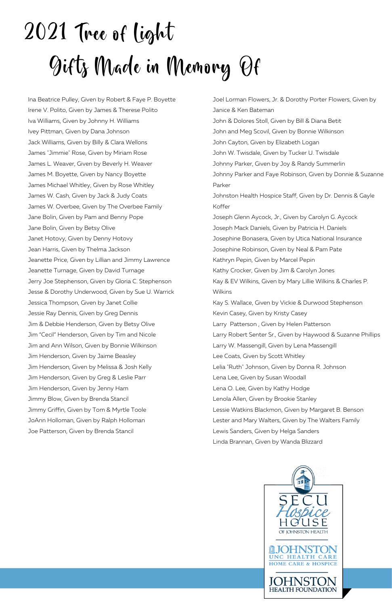# 2021 Tree of Light Gifts Made in Memory Of

Ina Beatrice Pulley, Given by Robert & Faye P. Boyette Irene V. Polito, Given by James & Therese Polito Iva Williams, Given by Johnny H. Williams Ivey Pittman, Given by Dana Johnson Jack Williams, Given by Billy & Clara Wellons James "Jimmie" Rose, Given by Miriam Rose James L. Weaver, Given by Beverly H. Weaver James M. Boyette, Given by Nancy Boyette James Michael Whitley, Given by Rose Whitley James W. Cash, Given by Jack & Judy Coats James W. Overbee, Given by The Overbee Family Jane Bolin, Given by Pam and Benny Pope Jane Bolin, Given by Betsy Olive Janet Hotovy, Given by Denny Hotovy Jean Harris, Given by Thelma Jackson Jeanette Price, Given by Lillian and Jimmy Lawrence Jeanette Turnage, Given by David Turnage Jerry Joe Stephenson, Given by Gloria C. Stephenson Jesse & Dorothy Underwood, Given by Sue U. Warrick Jessica Thompson, Given by Janet Collie Jessie Ray Dennis, Given by Greg Dennis Jim & Debbie Henderson, Given by Betsy Olive Jim "Cecil" Henderson, Given by Tim and Nicole Jim and Ann Wilson, Given by Bonnie Wilkinson Jim Henderson, Given by Jaime Beasley Jim Henderson, Given by Melissa & Josh Kelly Jim Henderson, Given by Greg & Leslie Parr Jim Henderson, Given by Jenny Ham Jimmy Blow, Given by Brenda Stancil Jimmy Griffin, Given by Tom & Myrtle Toole JoAnn Holloman, Given by Ralph Holloman Joe Patterson, Given by Brenda Stancil

Joel Lorman Flowers, Jr. & Dorothy Porter Flowers, Given by Janice & Ken Bateman John & Dolores Stoll, Given by Bill & Diana Betit John and Meg Scovil, Given by Bonnie Wilkinson John Cayton, Given by Elizabeth Logan John W. Twisdale, Given by Tucker U. Twisdale Johnny Parker, Given by Joy & Randy Summerlin Johnny Parker and Faye Robinson, Given by Donnie & Suzanne Parker Johnston Health Hospice Staff, Given by Dr. Dennis & Gayle Koffer Joseph Glenn Aycock, Jr., Given by Carolyn G. Aycock Joseph Mack Daniels, Given by Patricia H. Daniels Josephine Bonasera, Given by Utica National Insurance Josephine Robinson, Given by Neal & Pam Pate Kathryn Pepin, Given by Marcel Pepin Kathy Crocker, Given by Jim & Carolyn Jones Kay & EV Wilkins, Given by Mary Lillie Wilkins & Charles P. Wilkins Kay S. Wallace, Given by Vickie & Durwood Stephenson Kevin Casey, Given by Kristy Casey Larry Patterson , Given by Helen Patterson Larry Robert Senter Sr., Given by Haywood & Suzanne Phillips Larry W. Massengill, Given by Lena Massengill Lee Coats, Given by Scott Whitley Lelia "Ruth" Johnson, Given by Donna R. Johnson Lena Lee, Given by Susan Woodall Lena O. Lee, Given by Kathy Hodge Lenola Allen, Given by Brookie Stanley Lessie Watkins Blackmon, Given by Margaret B. Benson Lester and Mary Walters, Given by The Walters Family Lewis Sanders, Given by Helga Sanders Linda Brannan, Given by Wanda Blizzard

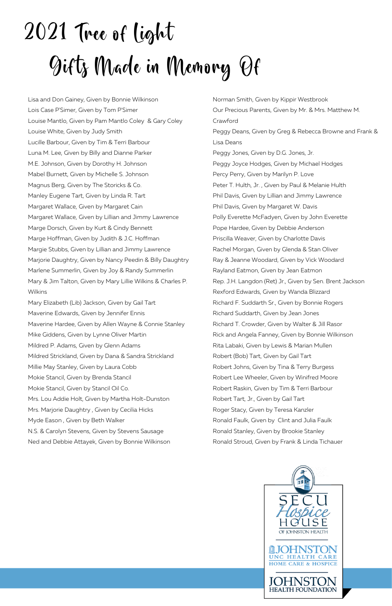# 2021 Tree of light Gifts Made in Memory Of

Lisa and Don Gainey, Given by Bonnie Wilkinson Lois Case P'Simer, Given by Tom P'Simer Louise Mantlo, Given by Pam Mantlo Coley & Gary Coley Louise White, Given by Judy Smith Lucille Barbour, Given by Tim & Terri Barbour Luna M. Lee, Given by Billy and Dianne Parker M.E. Johnson, Given by Dorothy H. Johnson Mabel Burnett, Given by Michelle S. Johnson Magnus Berg, Given by The Storicks & Co. Manley Eugene Tart, Given by Linda R. Tart Margaret Wallace, Given by Margaret Cain Margaret Wallace, Given by Lillian and Jimmy Lawrence Marge Dorsch, Given by Kurt & Cindy Bennett Marge Hoffman, Given by Judith & J.C. Hoffman Margie Stubbs, Given by Lillian and Jimmy Lawrence Marjorie Daughtry, Given by Nancy Peedin & Billy Daughtry Marlene Summerlin, Given by Joy & Randy Summerlin Mary & Jim Talton, Given by Mary Lillie Wilkins & Charles P. Wilkins

Mary Elizabeth (Lib) Jackson, Given by Gail Tart Maverine Edwards, Given by Jennifer Ennis Maverine Hardee, Given by Allen Wayne & Connie Stanley Mike Giddens, Given by Lynne Oliver Martin Mildred P. Adams, Given by Glenn Adams Mildred Strickland, Given by Dana & Sandra Strickland Millie May Stanley, Given by Laura Cobb Mokie Stancil, Given by Brenda Stancil Mokie Stancil, Given by Stancil Oil Co. Mrs. Lou Addie Holt, Given by Martha Holt-Dunston Mrs. Marjorie Daughtry , Given by Cecilia Hicks Myde Eason , Given by Beth Walker N.S. & Carolyn Stevens, Given by Stevens Sausage Ned and Debbie Attayek, Given by Bonnie Wilkinson

Norman Smith, Given by Kippir Westbrook Our Precious Parents, Given by Mr. & Mrs. Matthew M. Crawford Peggy Deans, Given by Greg & Rebecca Browne and Frank & Lisa Deans Peggy Jones, Given by D.G. Jones, Jr. Peggy Joyce Hodges, Given by Michael Hodges Percy Perry, Given by Marilyn P. Love Peter T. Hulth, Jr. , Given by Paul & Melanie Hulth Phil Davis, Given by Lillian and Jimmy Lawrence Phil Davis, Given by Margaret W. Davis Polly Everette McFadyen, Given by John Everette Pope Hardee, Given by Debbie Anderson Priscilla Weaver, Given by Charlotte Davis Rachel Morgan, Given by Glenda & Stan Oliver Ray & Jeanne Woodard, Given by Vick Woodard Rayland Eatmon, Given by Jean Eatmon Rep. J.H. Langdon (Ret) Jr., Given by Sen. Brent Jackson Rexford Edwards, Given by Wanda Blizzard Richard F. Suddarth Sr., Given by Bonnie Rogers Richard Suddarth, Given by Jean Jones Richard T. Crowder, Given by Walter & Jill Rasor Rick and Angela Fanney, Given by Bonnie Wilkinson Rita Labaki, Given by Lewis & Marian Mullen Robert (Bob) Tart, Given by Gail Tart Robert Johns, Given by Tina & Terry Burgess Robert Lee Wheeler, Given by Winifred Moore Robert Raskin, Given by Tim & Terri Barbour Robert Tart, Jr., Given by Gail Tart Roger Stacy, Given by Teresa Kanzler Ronald Faulk, Given by Clint and Julia Faulk Ronald Stanley, Given by Brookie Stanley Ronald Stroud, Given by Frank & Linda Tichauer

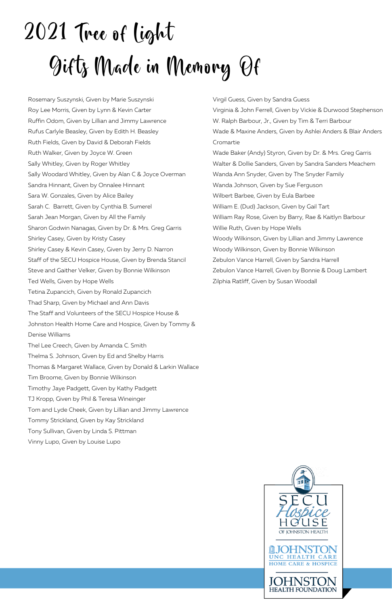# 2021 Tree of light Gifts Made in Memory Of

Rosemary Suszynski, Given by Marie Suszynski Roy Lee Morris, Given by Lynn & Kevin Carter Ruffin Odom, Given by Lillian and Jimmy Lawrence Rufus Carlyle Beasley, Given by Edith H. Beasley Ruth Fields, Given by David & Deborah Fields Ruth Walker, Given by Joyce W. Green Sally Whitley, Given by Roger Whitley Sally Woodard Whitley, Given by Alan C & Joyce Overman Sandra Hinnant, Given by Onnalee Hinnant Sara W. Gonzales, Given by Alice Bailey Sarah C. Barrett, Given by Cynthia B. Sumerel Sarah Jean Morgan, Given by All the Family Sharon Godwin Nanagas, Given by Dr. & Mrs. Greg Garris Shirley Casey, Given by Kristy Casey Shirley Casey & Kevin Casey, Given by Jerry D. Narron Staff of the SECU Hospice House, Given by Brenda Stancil Steve and Gaither Velker, Given by Bonnie Wilkinson Ted Wells, Given by Hope Wells Tetina Zupancich, Given by Ronald Zupancich Thad Sharp, Given by Michael and Ann Davis The Staff and Volunteers of the SECU Hospice House & Johnston Health Home Care and Hospice, Given by Tommy & Denise Williams Thel Lee Creech, Given by Amanda C. Smith Thelma S. Johnson, Given by Ed and Shelby Harris Thomas & Margaret Wallace, Given by Donald & Larkin Wallace Tim Broome, Given by Bonnie Wilkinson Timothy Jaye Padgett, Given by Kathy Padgett TJ Kropp, Given by Phil & Teresa Wineinger Tom and Lyde Cheek, Given by Lillian and Jimmy Lawrence Tommy Strickland, Given by Kay Strickland Tony Sullivan, Given by Linda S. Pittman Vinny Lupo, Given by Louise Lupo

Virgil Guess, Given by Sandra Guess Virginia & John Ferrell, Given by Vickie & Durwood Stephenson W. Ralph Barbour, Jr., Given by Tim & Terri Barbour Wade & Maxine Anders, Given by Ashlei Anders & Blair Anders Cromartie Wade Baker (Andy) Styron, Given by Dr. & Mrs. Greg Garris Walter & Dollie Sanders, Given by Sandra Sanders Meachem Wanda Ann Snyder, Given by The Snyder Family Wanda Johnson, Given by Sue Ferguson Wilbert Barbee, Given by Eula Barbee William E. (Dud) Jackson, Given by Gail Tart William Ray Rose, Given by Barry, Rae & Kaitlyn Barbour Willie Ruth, Given by Hope Wells Woody Wilkinson, Given by Lillian and Jimmy Lawrence Woody Wilkinson, Given by Bonnie Wilkinson Zebulon Vance Harrell, Given by Sandra Harrell Zebulon Vance Harrell, Given by Bonnie & Doug Lambert Zilphia Ratliff, Given by Susan Woodall